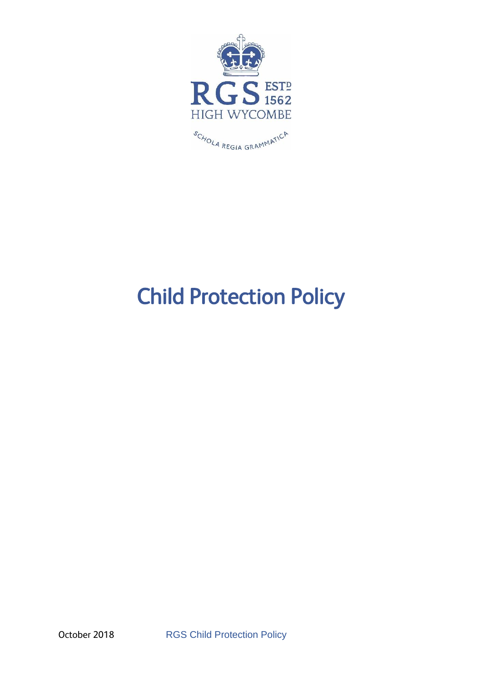

# Child Protection Policy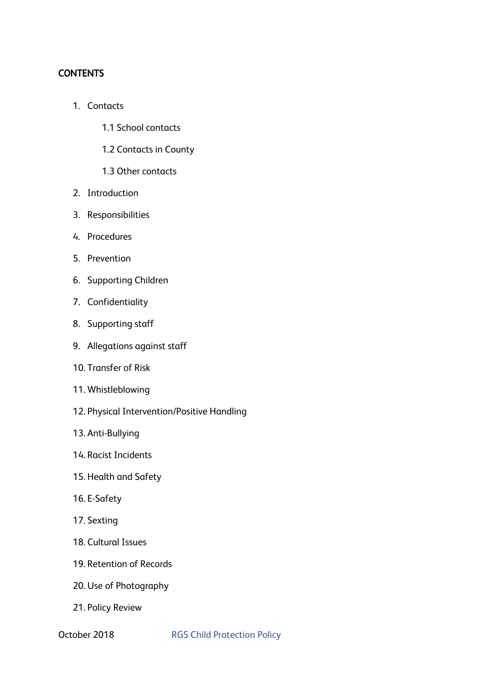# **CONTENTS**

- 1. Contacts
	- 1.1 School contacts
	- 1.2 Contacts in County
	- 1.3 Other contacts
- 2. Introduction
- 3. Responsibilities
- 4. Procedures
- 5. Prevention
- 6. Supporting Children
- 7. Confidentiality
- 8. Supporting staff
- 9. Allegations against staff
- 10. Transfer of Risk
- 11. Whistleblowing
- 12. Physical Intervention/Positive Handling
- 13. Anti-Bullying
- 14. Racist Incidents
- 15. Health and Safety
- 16. E-Safety
- 17. Sexting
- 18. Cultural Issues
- 19. Retention of Records
- 20. Use of Photography
- 21. Policy Review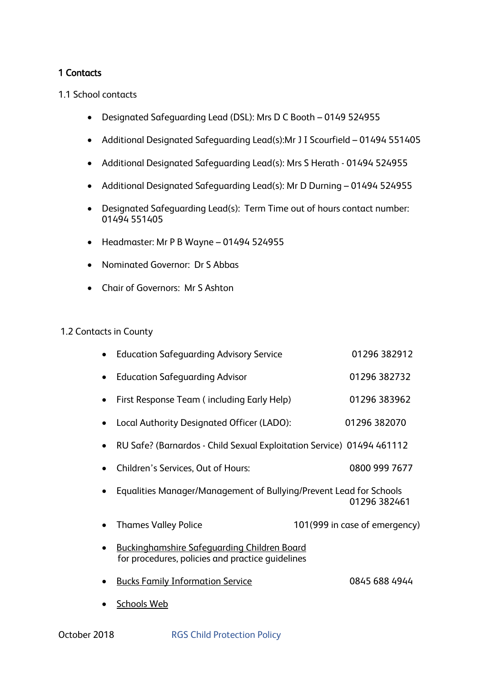# 1 Contacts

1.1 School contacts

- Designated Safeguarding Lead (DSL): Mrs D C Booth 0149 524955
- Additional Designated Safeguarding Lead(s):Mr J I Scourfield 01494 551405
- Additional Designated Safeguarding Lead(s): Mrs S Herath 01494 524955
- Additional Designated Safeguarding Lead(s): Mr D Durning 01494 524955
- Designated Safeguarding Lead(s): Term Time out of hours contact number: 01494 551405
- Headmaster: Mr P B Wayne 01494 524955
- Nominated Governor: Dr S Abbas
- Chair of Governors: Mr S Ashton

#### 1.2 Contacts in County

| <b>Education Safeguarding Advisory Service</b>                                                         | 01296 382912                  |
|--------------------------------------------------------------------------------------------------------|-------------------------------|
| <b>Education Safeguarding Advisor</b>                                                                  | 01296 382732                  |
| First Response Team (including Early Help)                                                             | 01296 383962                  |
| Local Authority Designated Officer (LADO):                                                             | 01296 382070                  |
| RU Safe? (Barnardos - Child Sexual Exploitation Service) 01494 461112                                  |                               |
| Children's Services, Out of Hours:                                                                     | 0800 999 7677                 |
| Equalities Manager/Management of Bullying/Prevent Lead for Schools                                     | 01296 382461                  |
| <b>Thames Valley Police</b>                                                                            | 101(999 in case of emergency) |
| <b>Buckinghamshire Safeguarding Children Board</b><br>for procedures, policies and practice guidelines |                               |
| <b>Bucks Family Information Service</b>                                                                | 0845 688 4944                 |
| <b>Schools Web</b>                                                                                     |                               |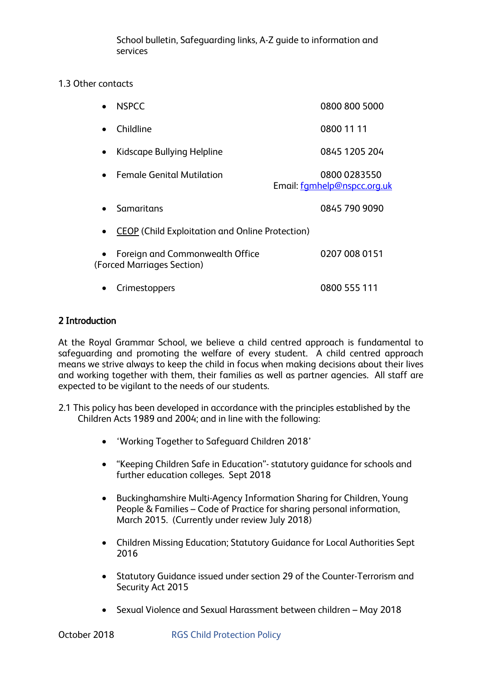School bulletin, Safeguarding links, A-Z guide to information and services

# 1.3 Other contacts

|                                                        | <b>NSPCC</b>                                                  | 0800 800 5000                               |
|--------------------------------------------------------|---------------------------------------------------------------|---------------------------------------------|
|                                                        | Childline                                                     | 0800 11 11                                  |
| $\bullet$                                              | Kidscape Bullying Helpline                                    | 0845 1205 204                               |
|                                                        | <b>Female Genital Mutilation</b>                              | 0800 0283550<br>Email: famhelp@nspcc.org.uk |
|                                                        | Samaritans                                                    | 0845 790 9090                               |
| <b>CEOP</b> (Child Exploitation and Online Protection) |                                                               |                                             |
|                                                        | Foreign and Commonwealth Office<br>(Forced Marriages Section) | 0207 008 0151                               |
|                                                        | Crimestoppers                                                 | 0800 555 111                                |

# 2 Introduction

At the Royal Grammar School, we believe a child centred approach is fundamental to safeguarding and promoting the welfare of every student. A child centred approach means we strive always to keep the child in focus when making decisions about their lives and working together with them, their families as well as partner agencies. All staff are expected to be vigilant to the needs of our students.

- 2.1 This policy has been developed in accordance with the principles established by the Children Acts 1989 and 2004; and in line with the following:
	- 'Working Together to Safeguard Children 2018'
	- "Keeping Children Safe in Education"- statutory guidance for schools and further education colleges. Sept 2018
	- Buckinghamshire Multi-Agency Information Sharing for Children, Young People & Families – Code of Practice for sharing personal information, March 2015. (Currently under review July 2018)
	- Children Missing Education; Statutory Guidance for Local Authorities Sept 2016
	- Statutory Guidance issued under section 29 of the Counter-Terrorism and Security Act 2015
	- Sexual Violence and Sexual Harassment between children May 2018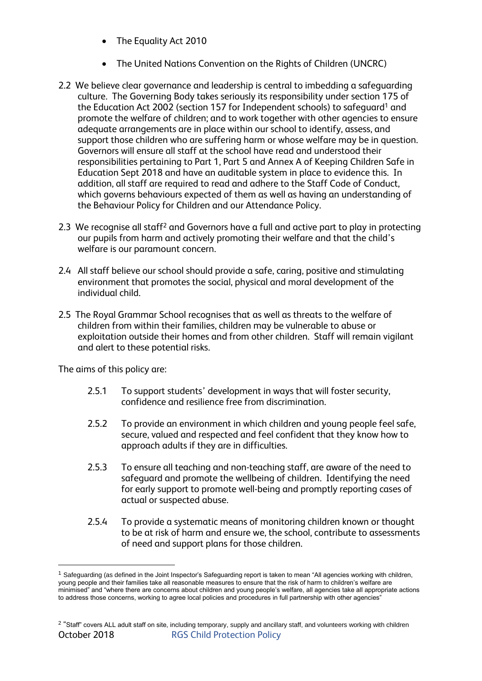- The Equality Act 2010
- The United Nations Convention on the Rights of Children (UNCRC)
- 2.2 We believe clear governance and leadership is central to imbedding a safeguarding culture. The Governing Body takes seriously its responsibility under section 175 of the Education Act 2002 (section 157 for Independent schools) to safeguard<sup>1</sup> and promote the welfare of children; and to work together with other agencies to ensure adequate arrangements are in place within our school to identify, assess, and support those children who are suffering harm or whose welfare may be in question. Governors will ensure all staff at the school have read and understood their responsibilities pertaining to Part 1, Part 5 and Annex A of Keeping Children Safe in Education Sept 2018 and have an auditable system in place to evidence this. In addition, all staff are required to read and adhere to the Staff Code of Conduct, which governs behaviours expected of them as well as having an understanding of the Behaviour Policy for Children and our Attendance Policy.
- 2.3 We recognise all staff<sup>2</sup> and Governors have a full and active part to play in protecting our pupils from harm and actively promoting their welfare and that the child's welfare is our paramount concern.
- 2.4 All staff believe our school should provide a safe, caring, positive and stimulating environment that promotes the social, physical and moral development of the individual child.
- 2.5 The Royal Grammar School recognises that as well as threats to the welfare of children from within their families, children may be vulnerable to abuse or exploitation outside their homes and from other children. Staff will remain vigilant and alert to these potential risks.

The aims of this policy are:

1

- 2.5.1 To support students' development in ways that will foster security, confidence and resilience free from discrimination.
- 2.5.2 To provide an environment in which children and young people feel safe, secure, valued and respected and feel confident that they know how to approach adults if they are in difficulties.
- 2.5.3 To ensure all teaching and non-teaching staff, are aware of the need to safeguard and promote the wellbeing of children. Identifying the need for early support to promote well-being and promptly reporting cases of actual or suspected abuse.
- 2.5.4 To provide a systematic means of monitoring children known or thought to be at risk of harm and ensure we, the school, contribute to assessments of need and support plans for those children.

 $1$  Safeguarding (as defined in the Joint Inspector's Safeguarding report is taken to mean "All agencies working with children, young people and their families take all reasonable measures to ensure that the risk of harm to children's welfare are minimised" and "where there are concerns about children and young people's welfare, all agencies take all appropriate actions to address those concerns, working to agree local policies and procedures in full partnership with other agencies"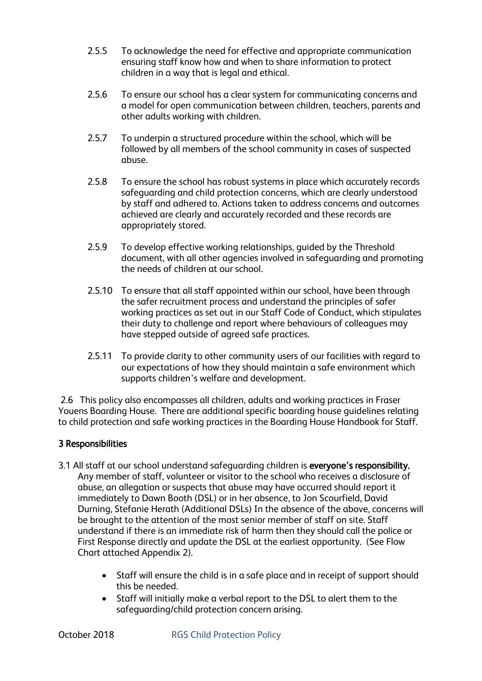- 2.5.5 To acknowledge the need for effective and appropriate communication ensuring staff know how and when to share information to protect children in a way that is legal and ethical.
- 2.5.6 To ensure our school has a clear system for communicating concerns and a model for open communication between children, teachers, parents and other adults working with children.
- 2.5.7 To underpin a structured procedure within the school, which will be followed by all members of the school community in cases of suspected abuse.
- 2.5.8 To ensure the school has robust systems in place which accurately records safeguarding and child protection concerns, which are clearly understood by staff and adhered to. Actions taken to address concerns and outcomes achieved are clearly and accurately recorded and these records are appropriately stored.
- 2.5.9 To develop effective working relationships, guided by the Threshold document, with all other agencies involved in safeguarding and promoting the needs of children at our school.
- 2.5.10 To ensure that all staff appointed within our school, have been through the safer recruitment process and understand the principles of safer working practices as set out in our Staff Code of Conduct, which stipulates their duty to challenge and report where behaviours of colleagues may have stepped outside of agreed safe practices.
- 2.5.11 To provide clarity to other community users of our facilities with regard to our expectations of how they should maintain a safe environment which supports children's welfare and development.

2.6 This policy also encompasses all children, adults and working practices in Fraser Youens Boarding House. There are additional specific boarding house guidelines relating to child protection and safe working practices in the Boarding House Handbook for Staff.

# 3 Responsibilities

- 3.1 All staff at our school understand safequarding children is everyone's responsibility. Any member of staff, volunteer or visitor to the school who receives a disclosure of abuse, an allegation or suspects that abuse may have occurred should report it immediately to Dawn Booth (DSL) or in her absence, to Jon Scourfield, David Durning, Stefanie Herath (Additional DSLs) In the absence of the above, concerns will be brought to the attention of the most senior member of staff on site. Staff understand if there is an immediate risk of harm then they should call the police or First Response directly and update the DSL at the earliest opportunity. (See Flow Chart attached Appendix 2).
	- Staff will ensure the child is in a safe place and in receipt of support should this be needed.
	- Staff will initially make a verbal report to the DSL to alert them to the safeguarding/child protection concern arising.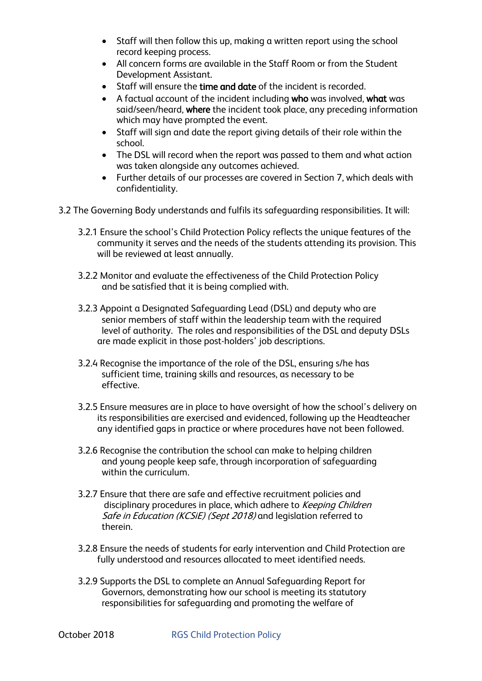- Staff will then follow this up, making a written report using the school record keeping process.
- All concern forms are available in the Staff Room or from the Student Development Assistant.
- Staff will ensure the time and date of the incident is recorded.
- A factual account of the incident including who was involved, what was said/seen/heard, where the incident took place, any preceding information which may have prompted the event.
- Staff will sign and date the report giving details of their role within the school.
- The DSL will record when the report was passed to them and what action was taken alongside any outcomes achieved.
- Further details of our processes are covered in Section 7, which deals with confidentiality.
- 3.2 The Governing Body understands and fulfils its safeguarding responsibilities. It will:
	- 3.2.1 Ensure the school's Child Protection Policy reflects the unique features of the community it serves and the needs of the students attending its provision. This will be reviewed at least annually.
	- 3.2.2 Monitor and evaluate the effectiveness of the Child Protection Policy and be satisfied that it is being complied with.
	- 3.2.3 Appoint a Designated Safeguarding Lead (DSL) and deputy who are senior members of staff within the leadership team with the required level of authority. The roles and responsibilities of the DSL and deputy DSLs are made explicit in those post-holders' job descriptions.
	- 3.2.4 Recognise the importance of the role of the DSL, ensuring s/he has sufficient time, training skills and resources, as necessary to be effective.
	- 3.2.5 Ensure measures are in place to have oversight of how the school's delivery on its responsibilities are exercised and evidenced, following up the Headteacher any identified gaps in practice or where procedures have not been followed.
	- 3.2.6 Recognise the contribution the school can make to helping children and young people keep safe, through incorporation of safeguarding within the curriculum.
	- 3.2.7 Ensure that there are safe and effective recruitment policies and disciplinary procedures in place, which adhere to Keeping Children Safe in Education (KCSiE) (Sept 2018) and legislation referred to therein.
	- 3.2.8 Ensure the needs of students for early intervention and Child Protection are fully understood and resources allocated to meet identified needs.
	- 3.2.9 Supports the DSL to complete an Annual Safeguarding Report for Governors, demonstrating how our school is meeting its statutory responsibilities for safeguarding and promoting the welfare of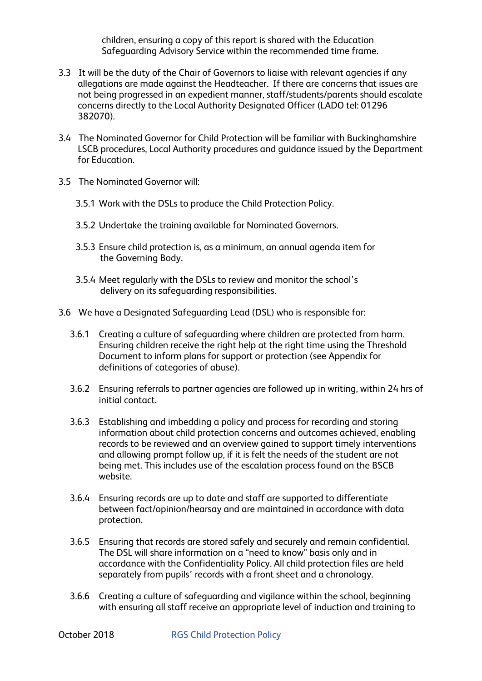children, ensuring a copy of this report is shared with the Education Safeguarding Advisory Service within the recommended time frame.

- 3.3 It will be the duty of the Chair of Governors to liaise with relevant agencies if any allegations are made against the Headteacher. If there are concerns that issues are not being progressed in an expedient manner, staff/students/parents should escalate concerns directly to the Local Authority Designated Officer (LADO tel: 01296 382070).
- 3.4 The Nominated Governor for Child Protection will be familiar with Buckinghamshire LSCB procedures, Local Authority procedures and guidance issued by the Department for Education.
- 3.5 The Nominated Governor will:
	- 3.5.1 Work with the DSLs to produce the Child Protection Policy.
	- 3.5.2 Undertake the training available for Nominated Governors.
	- 3.5.3 Ensure child protection is, as a minimum, an annual agenda item for the Governing Body.
	- 3.5.4 Meet regularly with the DSLs to review and monitor the school's delivery on its safeguarding responsibilities.
- 3.6 We have a Designated Safeguarding Lead (DSL) who is responsible for:
	- 3.6.1 Creating a culture of safeguarding where children are protected from harm. Ensuring children receive the right help at the right time using the Threshold Document to inform plans for support or protection (see Appendix for definitions of categories of abuse).
	- 3.6.2 Ensuring referrals to partner agencies are followed up in writing, within 24 hrs of initial contact.
	- 3.6.3 Establishing and imbedding a policy and process for recording and storing information about child protection concerns and outcomes achieved, enabling records to be reviewed and an overview gained to support timely interventions and allowing prompt follow up, if it is felt the needs of the student are not being met. This includes use of the escalation process found on the BSCB website.
	- 3.6.4 Ensuring records are up to date and staff are supported to differentiate between fact/opinion/hearsay and are maintained in accordance with data protection.
	- 3.6.5 Ensuring that records are stored safely and securely and remain confidential. The DSL will share information on a "need to know" basis only and in accordance with the Confidentiality Policy. All child protection files are held separately from pupils' records with a front sheet and a chronology.
	- 3.6.6 Creating a culture of safeguarding and vigilance within the school, beginning with ensuring all staff receive an appropriate level of induction and training to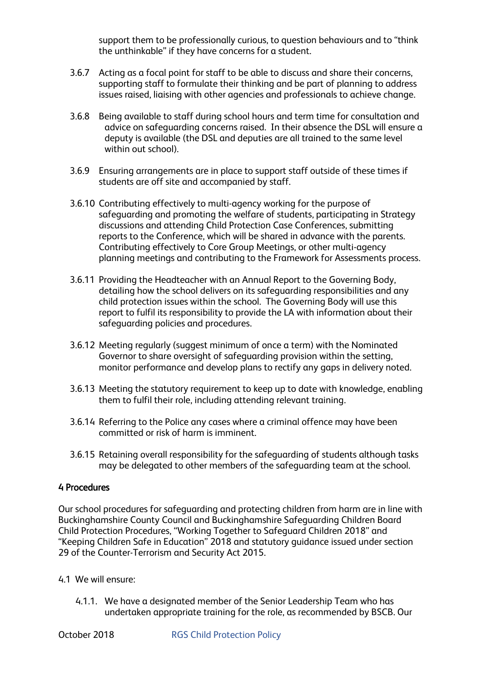support them to be professionally curious, to question behaviours and to "think the unthinkable" if they have concerns for a student.

- 3.6.7 Acting as a focal point for staff to be able to discuss and share their concerns, supporting staff to formulate their thinking and be part of planning to address issues raised, liaising with other agencies and professionals to achieve change.
- 3.6.8 Being available to staff during school hours and term time for consultation and advice on safeguarding concerns raised. In their absence the DSL will ensure a deputy is available (the DSL and deputies are all trained to the same level within out school).
- 3.6.9 Ensuring arrangements are in place to support staff outside of these times if students are off site and accompanied by staff.
- 3.6.10 Contributing effectively to multi-agency working for the purpose of safeguarding and promoting the welfare of students, participating in Strategy discussions and attending Child Protection Case Conferences, submitting reports to the Conference, which will be shared in advance with the parents. Contributing effectively to Core Group Meetings, or other multi-agency planning meetings and contributing to the Framework for Assessments process.
- 3.6.11 Providing the Headteacher with an Annual Report to the Governing Body, detailing how the school delivers on its safeguarding responsibilities and any child protection issues within the school. The Governing Body will use this report to fulfil its responsibility to provide the LA with information about their safeguarding policies and procedures.
- 3.6.12 Meeting regularly (suggest minimum of once a term) with the Nominated Governor to share oversight of safeguarding provision within the setting, monitor performance and develop plans to rectify any gaps in delivery noted.
- 3.6.13 Meeting the statutory requirement to keep up to date with knowledge, enabling them to fulfil their role, including attending relevant training.
- 3.6.14 Referring to the Police any cases where a criminal offence may have been committed or risk of harm is imminent.
- 3.6.15 Retaining overall responsibility for the safeguarding of students although tasks may be delegated to other members of the safeguarding team at the school.

## 4 Procedures

Our school procedures for safeguarding and protecting children from harm are in line with Buckinghamshire County Council and Buckinghamshire Safeguarding Children Board Child Protection Procedures, "Working Together to Safeguard Children 2018" and "Keeping Children Safe in Education" 2018 and statutory guidance issued under section 29 of the Counter-Terrorism and Security Act 2015.

- 4.1 We will ensure:
	- 4.1.1. We have a designated member of the Senior Leadership Team who has undertaken appropriate training for the role, as recommended by BSCB. Our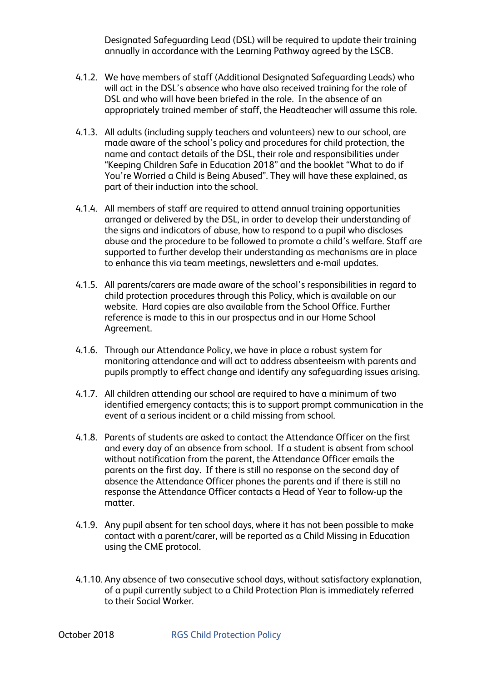Designated Safeguarding Lead (DSL) will be required to update their training annually in accordance with the Learning Pathway agreed by the LSCB.

- 4.1.2. We have members of staff (Additional Designated Safeguarding Leads) who will act in the DSL's absence who have also received training for the role of DSL and who will have been briefed in the role. In the absence of an appropriately trained member of staff, the Headteacher will assume this role.
- 4.1.3. All adults (including supply teachers and volunteers) new to our school, are made aware of the school's policy and procedures for child protection, the name and contact details of the DSL, their role and responsibilities under "Keeping Children Safe in Education 2018" and the booklet "What to do if You're Worried a Child is Being Abused". They will have these explained, as part of their induction into the school.
- 4.1.4. All members of staff are required to attend annual training opportunities arranged or delivered by the DSL, in order to develop their understanding of the signs and indicators of abuse, how to respond to a pupil who discloses abuse and the procedure to be followed to promote a child's welfare. Staff are supported to further develop their understanding as mechanisms are in place to enhance this via team meetings, newsletters and e-mail updates.
- 4.1.5. All parents/carers are made aware of the school's responsibilities in regard to child protection procedures through this Policy, which is available on our website. Hard copies are also available from the School Office. Further reference is made to this in our prospectus and in our Home School Agreement.
- 4.1.6. Through our Attendance Policy, we have in place a robust system for monitoring attendance and will act to address absenteeism with parents and pupils promptly to effect change and identify any safeguarding issues arising.
- 4.1.7. All children attending our school are required to have a minimum of two identified emergency contacts; this is to support prompt communication in the event of a serious incident or a child missing from school.
- 4.1.8. Parents of students are asked to contact the Attendance Officer on the first and every day of an absence from school. If a student is absent from school without notification from the parent, the Attendance Officer emails the parents on the first day. If there is still no response on the second day of absence the Attendance Officer phones the parents and if there is still no response the Attendance Officer contacts a Head of Year to follow-up the matter.
- 4.1.9. Any pupil absent for ten school days, where it has not been possible to make contact with a parent/carer, will be reported as a Child Missing in Education using the CME protocol.
- 4.1.10. Any absence of two consecutive school days, without satisfactory explanation, of a pupil currently subject to a Child Protection Plan is immediately referred to their Social Worker.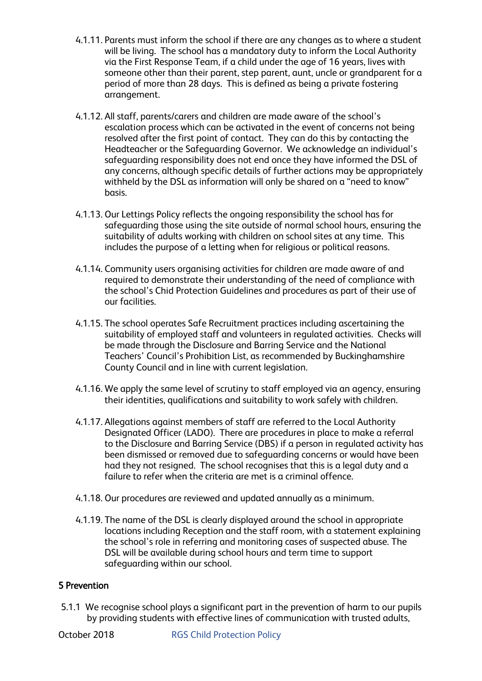- 4.1.11. Parents must inform the school if there are any changes as to where a student will be living. The school has a mandatory duty to inform the Local Authority via the First Response Team, if a child under the age of 16 years, lives with someone other than their parent, step parent, aunt, uncle or grandparent for a period of more than 28 days. This is defined as being a private fostering arrangement.
- 4.1.12. All staff, parents/carers and children are made aware of the school's escalation process which can be activated in the event of concerns not being resolved after the first point of contact. They can do this by contacting the Headteacher or the Safeguarding Governor. We acknowledge an individual's safeguarding responsibility does not end once they have informed the DSL of any concerns, although specific details of further actions may be appropriately withheld by the DSL as information will only be shared on a "need to know" basis.
- 4.1.13. Our Lettings Policy reflects the ongoing responsibility the school has for safeguarding those using the site outside of normal school hours, ensuring the suitability of adults working with children on school sites at any time. This includes the purpose of a letting when for religious or political reasons.
- 4.1.14. Community users organising activities for children are made aware of and required to demonstrate their understanding of the need of compliance with the school's Chid Protection Guidelines and procedures as part of their use of our facilities.
- 4.1.15. The school operates Safe Recruitment practices including ascertaining the suitability of employed staff and volunteers in regulated activities. Checks will be made through the Disclosure and Barring Service and the National Teachers' Council's Prohibition List, as recommended by Buckinghamshire County Council and in line with current legislation.
- 4.1.16. We apply the same level of scrutiny to staff employed via an agency, ensuring their identities, qualifications and suitability to work safely with children.
- 4.1.17. Allegations against members of staff are referred to the Local Authority Designated Officer (LADO). There are procedures in place to make a referral to the Disclosure and Barring Service (DBS) if a person in regulated activity has been dismissed or removed due to safeguarding concerns or would have been had they not resigned. The school recognises that this is a legal duty and a failure to refer when the criteria are met is a criminal offence.
- 4.1.18. Our procedures are reviewed and updated annually as a minimum.
- 4.1.19. The name of the DSL is clearly displayed around the school in appropriate locations including Reception and the staff room, with a statement explaining the school's role in referring and monitoring cases of suspected abuse. The DSL will be available during school hours and term time to support safeguarding within our school.

## 5 Prevention

5.1.1 We recognise school plays a significant part in the prevention of harm to our pupils by providing students with effective lines of communication with trusted adults,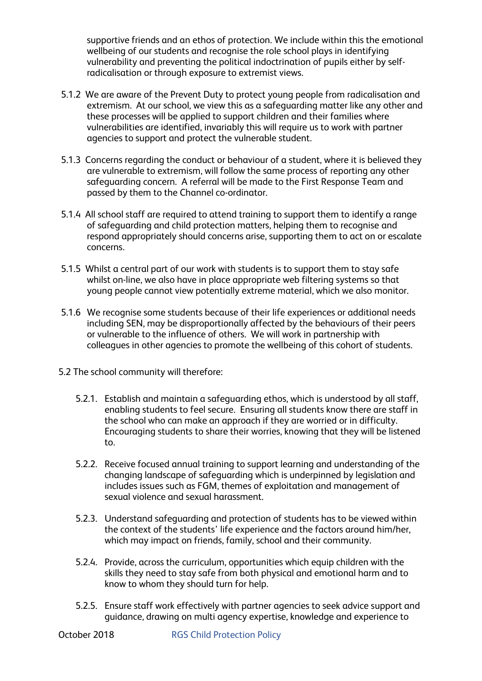supportive friends and an ethos of protection. We include within this the emotional wellbeing of our students and recognise the role school plays in identifying vulnerability and preventing the political indoctrination of pupils either by selfradicalisation or through exposure to extremist views.

- 5.1.2 We are aware of the Prevent Duty to protect young people from radicalisation and extremism. At our school, we view this as a safeguarding matter like any other and these processes will be applied to support children and their families where vulnerabilities are identified, invariably this will require us to work with partner agencies to support and protect the vulnerable student.
- 5.1.3 Concerns regarding the conduct or behaviour of a student, where it is believed they are vulnerable to extremism, will follow the same process of reporting any other safeguarding concern. A referral will be made to the First Response Team and passed by them to the Channel co-ordinator.
- 5.1.4 All school staff are required to attend training to support them to identify a range of safeguarding and child protection matters, helping them to recognise and respond appropriately should concerns arise, supporting them to act on or escalate concerns.
- 5.1.5 Whilst a central part of our work with students is to support them to stay safe whilst on-line, we also have in place appropriate web filtering systems so that young people cannot view potentially extreme material, which we also monitor.
- 5.1.6 We recognise some students because of their life experiences or additional needs including SEN, may be disproportionally affected by the behaviours of their peers or vulnerable to the influence of others. We will work in partnership with colleagues in other agencies to promote the wellbeing of this cohort of students.
- 5.2 The school community will therefore:
	- 5.2.1. Establish and maintain a safeguarding ethos, which is understood by all staff, enabling students to feel secure. Ensuring all students know there are staff in the school who can make an approach if they are worried or in difficulty. Encouraging students to share their worries, knowing that they will be listened to.
	- 5.2.2. Receive focused annual training to support learning and understanding of the changing landscape of safeguarding which is underpinned by legislation and includes issues such as FGM, themes of exploitation and management of sexual violence and sexual harassment.
	- 5.2.3. Understand safeguarding and protection of students has to be viewed within the context of the students' life experience and the factors around him/her, which may impact on friends, family, school and their community.
	- 5.2.4. Provide, across the curriculum, opportunities which equip children with the skills they need to stay safe from both physical and emotional harm and to know to whom they should turn for help.
	- 5.2.5. Ensure staff work effectively with partner agencies to seek advice support and guidance, drawing on multi agency expertise, knowledge and experience to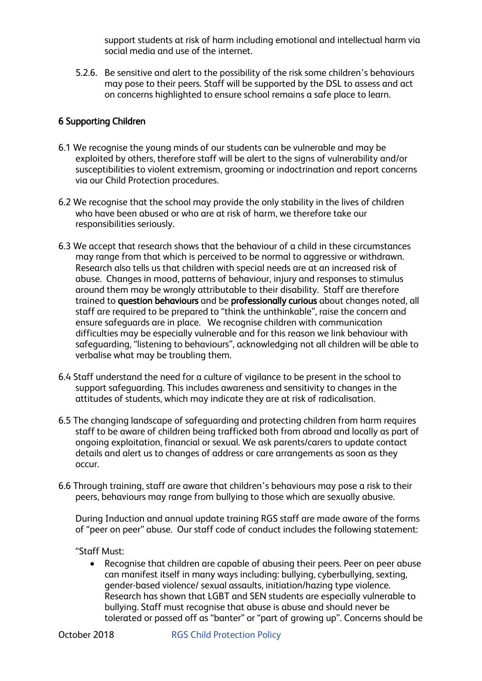support students at risk of harm including emotional and intellectual harm via social media and use of the internet.

5.2.6. Be sensitive and alert to the possibility of the risk some children's behaviours may pose to their peers. Staff will be supported by the DSL to assess and act on concerns highlighted to ensure school remains a safe place to learn.

# 6 Supporting Children

- 6.1 We recognise the young minds of our students can be vulnerable and may be exploited by others, therefore staff will be alert to the signs of vulnerability and/or susceptibilities to violent extremism, grooming or indoctrination and report concerns via our Child Protection procedures.
- 6.2 We recognise that the school may provide the only stability in the lives of children who have been abused or who are at risk of harm, we therefore take our responsibilities seriously.
- 6.3 We accept that research shows that the behaviour of a child in these circumstances may range from that which is perceived to be normal to aggressive or withdrawn. Research also tells us that children with special needs are at an increased risk of abuse. Changes in mood, patterns of behaviour, injury and responses to stimulus around them may be wrongly attributable to their disability. Staff are therefore trained to question behaviours and be professionally curious about changes noted, all staff are required to be prepared to "think the unthinkable", raise the concern and ensure safeguards are in place. We recognise children with communication difficulties may be especially vulnerable and for this reason we link behaviour with safeguarding, "listening to behaviours", acknowledging not all children will be able to verbalise what may be troubling them.
- 6.4 Staff understand the need for a culture of vigilance to be present in the school to support safeguarding. This includes awareness and sensitivity to changes in the attitudes of students, which may indicate they are at risk of radicalisation.
- 6.5 The changing landscape of safeguarding and protecting children from harm requires staff to be aware of children being trafficked both from abroad and locally as part of ongoing exploitation, financial or sexual. We ask parents/carers to update contact details and alert us to changes of address or care arrangements as soon as they occur.
- 6.6 Through training, staff are aware that children's behaviours may pose a risk to their peers, behaviours may range from bullying to those which are sexually abusive.

During Induction and annual update training RGS staff are made aware of the forms of "peer on peer" abuse. Our staff code of conduct includes the following statement:

## "Staff Must:

 Recognise that children are capable of abusing their peers. Peer on peer abuse can manifest itself in many ways including: bullying, cyberbullying, sexting, gender-based violence/ sexual assaults, initiation/hazing type violence. Research has shown that LGBT and SEN students are especially vulnerable to bullying. Staff must recognise that abuse is abuse and should never be tolerated or passed off as "banter" or "part of growing up". Concerns should be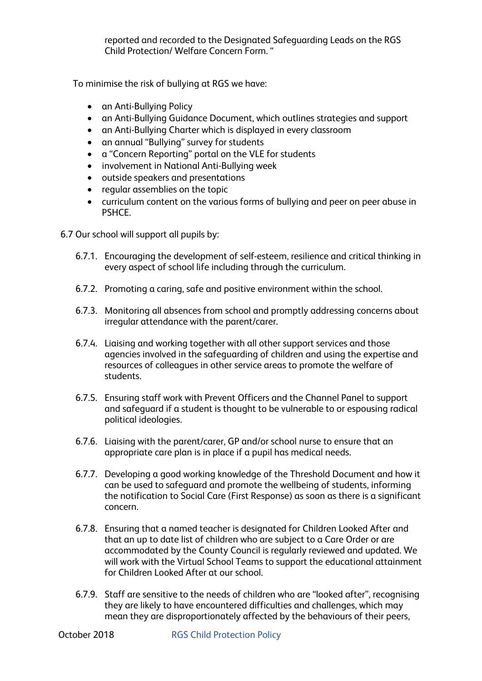reported and recorded to the Designated Safeguarding Leads on the RGS Child Protection/ Welfare Concern Form. "

To minimise the risk of bullying at RGS we have:

- an Anti-Bullying Policy
- an Anti-Bullying Guidance Document, which outlines strategies and support
- an Anti-Bullying Charter which is displayed in every classroom
- an annual "Bullying" survey for students
- a "Concern Reporting" portal on the VLE for students
- involvement in National Anti-Bullying week
- outside speakers and presentations
- regular assemblies on the topic
- curriculum content on the various forms of bullying and peer on peer abuse in PSHCE.

6.7 Our school will support all pupils by:

- 6.7.1. Encouraging the development of self-esteem, resilience and critical thinking in every aspect of school life including through the curriculum.
- 6.7.2. Promoting a caring, safe and positive environment within the school.
- 6.7.3. Monitoring all absences from school and promptly addressing concerns about irregular attendance with the parent/carer.
- 6.7.4. Liaising and working together with all other support services and those agencies involved in the safeguarding of children and using the expertise and resources of colleagues in other service areas to promote the welfare of students.
- 6.7.5. Ensuring staff work with Prevent Officers and the Channel Panel to support and safeguard if a student is thought to be vulnerable to or espousing radical political ideologies.
- 6.7.6. Liaising with the parent/carer, GP and/or school nurse to ensure that an appropriate care plan is in place if a pupil has medical needs.
- 6.7.7. Developing a good working knowledge of the Threshold Document and how it can be used to safeguard and promote the wellbeing of students, informing the notification to Social Care (First Response) as soon as there is a significant concern.
- 6.7.8. Ensuring that a named teacher is designated for Children Looked After and that an up to date list of children who are subject to a Care Order or are accommodated by the County Council is regularly reviewed and updated. We will work with the Virtual School Teams to support the educational attainment for Children Looked After at our school.
- 6.7.9. Staff are sensitive to the needs of children who are "looked after", recognising they are likely to have encountered difficulties and challenges, which may mean they are disproportionately affected by the behaviours of their peers,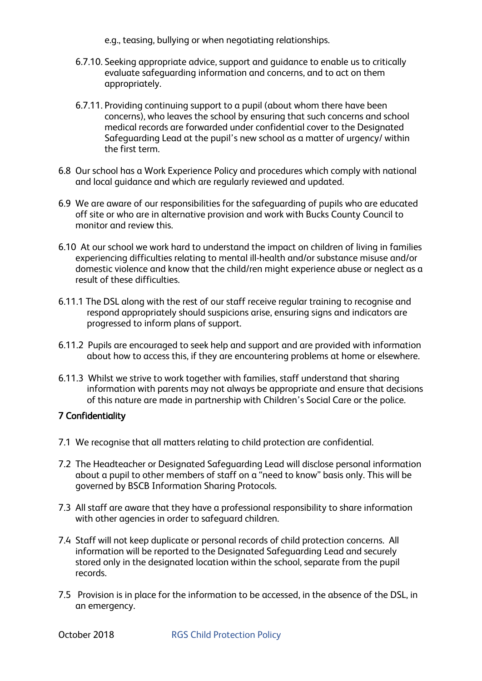- e.g., teasing, bullying or when negotiating relationships.
- 6.7.10. Seeking appropriate advice, support and guidance to enable us to critically evaluate safeguarding information and concerns, and to act on them appropriately.
- 6.7.11. Providing continuing support to a pupil (about whom there have been concerns), who leaves the school by ensuring that such concerns and school medical records are forwarded under confidential cover to the Designated Safeguarding Lead at the pupil's new school as a matter of urgency/ within the first term.
- 6.8 Our school has a Work Experience Policy and procedures which comply with national and local guidance and which are regularly reviewed and updated.
- 6.9 We are aware of our responsibilities for the safeguarding of pupils who are educated off site or who are in alternative provision and work with Bucks County Council to monitor and review this.
- 6.10 At our school we work hard to understand the impact on children of living in families experiencing difficulties relating to mental ill-health and/or substance misuse and/or domestic violence and know that the child/ren might experience abuse or neglect as a result of these difficulties.
- 6.11.1 The DSL along with the rest of our staff receive regular training to recognise and respond appropriately should suspicions arise, ensuring signs and indicators are progressed to inform plans of support.
- 6.11.2 Pupils are encouraged to seek help and support and are provided with information about how to access this, if they are encountering problems at home or elsewhere.
- 6.11.3 Whilst we strive to work together with families, staff understand that sharing information with parents may not always be appropriate and ensure that decisions of this nature are made in partnership with Children's Social Care or the police.

## 7 Confidentiality

- 7.1 We recognise that all matters relating to child protection are confidential.
- 7.2 The Headteacher or Designated Safeguarding Lead will disclose personal information about a pupil to other members of staff on a "need to know" basis only. This will be governed by BSCB Information Sharing Protocols.
- 7.3 All staff are aware that they have a professional responsibility to share information with other agencies in order to safeguard children.
- 7.4 Staff will not keep duplicate or personal records of child protection concerns. All information will be reported to the Designated Safeguarding Lead and securely stored only in the designated location within the school, separate from the pupil records.
- 7.5 Provision is in place for the information to be accessed, in the absence of the DSL, in an emergency.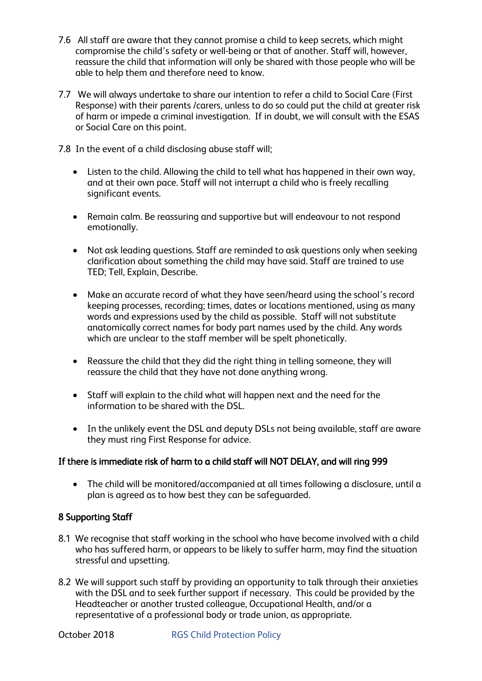- 7.6 All staff are aware that they cannot promise a child to keep secrets, which might compromise the child's safety or well-being or that of another. Staff will, however, reassure the child that information will only be shared with those people who will be able to help them and therefore need to know.
- 7.7 We will always undertake to share our intention to refer a child to Social Care (First Response) with their parents /carers, unless to do so could put the child at greater risk of harm or impede a criminal investigation. If in doubt, we will consult with the ESAS or Social Care on this point.
- 7.8 In the event of a child disclosing abuse staff will;
	- Listen to the child. Allowing the child to tell what has happened in their own way, and at their own pace. Staff will not interrupt a child who is freely recalling significant events.
	- Remain calm. Be reassuring and supportive but will endeavour to not respond emotionally.
	- Not ask leading questions. Staff are reminded to ask questions only when seeking clarification about something the child may have said. Staff are trained to use TED; Tell, Explain, Describe.
	- Make an accurate record of what they have seen/heard using the school's record keeping processes, recording; times, dates or locations mentioned, using as many words and expressions used by the child as possible. Staff will not substitute anatomically correct names for body part names used by the child. Any words which are unclear to the staff member will be spelt phonetically.
	- Reassure the child that they did the right thing in telling someone, they will reassure the child that they have not done anything wrong.
	- Staff will explain to the child what will happen next and the need for the information to be shared with the DSL.
	- In the unlikely event the DSL and deputy DSLs not being available, staff are aware they must ring First Response for advice.

# If there is immediate risk of harm to a child staff will NOT DELAY, and will ring 999

 The child will be monitored/accompanied at all times following a disclosure, until a plan is agreed as to how best they can be safeguarded.

# 8 Supporting Staff

- 8.1 We recognise that staff working in the school who have become involved with a child who has suffered harm, or appears to be likely to suffer harm, may find the situation stressful and upsetting.
- 8.2 We will support such staff by providing an opportunity to talk through their anxieties with the DSL and to seek further support if necessary. This could be provided by the Headteacher or another trusted colleague, Occupational Health, and/or a representative of a professional body or trade union, as appropriate.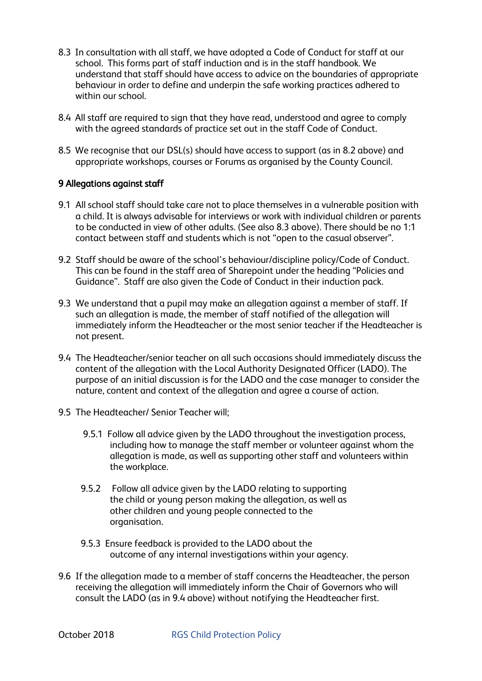- 8.3 In consultation with all staff, we have adopted a Code of Conduct for staff at our school. This forms part of staff induction and is in the staff handbook. We understand that staff should have access to advice on the boundaries of appropriate behaviour in order to define and underpin the safe working practices adhered to within our school.
- 8.4 All staff are required to sign that they have read, understood and agree to comply with the agreed standards of practice set out in the staff Code of Conduct.
- 8.5 We recognise that our DSL(s) should have access to support (as in 8.2 above) and appropriate workshops, courses or Forums as organised by the County Council.

## 9 Allegations against staff

- 9.1 All school staff should take care not to place themselves in a vulnerable position with a child. It is always advisable for interviews or work with individual children or parents to be conducted in view of other adults. (See also 8.3 above). There should be no 1:1 contact between staff and students which is not "open to the casual observer".
- 9.2 Staff should be aware of the school's behaviour/discipline policy/Code of Conduct. This can be found in the staff area of Sharepoint under the heading "Policies and Guidance". Staff are also given the Code of Conduct in their induction pack.
- 9.3 We understand that a pupil may make an allegation against a member of staff. If such an allegation is made, the member of staff notified of the allegation will immediately inform the Headteacher or the most senior teacher if the Headteacher is not present.
- 9.4 The Headteacher/senior teacher on all such occasions should immediately discuss the content of the allegation with the Local Authority Designated Officer (LADO). The purpose of an initial discussion is for the LADO and the case manager to consider the nature, content and context of the allegation and agree a course of action.
- 9.5 The Headteacher/ Senior Teacher will;
	- 9.5.1 Follow all advice given by the LADO throughout the investigation process, including how to manage the staff member or volunteer against whom the allegation is made, as well as supporting other staff and volunteers within the workplace.
	- 9.5.2 Follow all advice given by the LADO relating to supporting the child or young person making the allegation, as well as other children and young people connected to the organisation.
	- 9.5.3 Ensure feedback is provided to the LADO about the outcome of any internal investigations within your agency.
- 9.6 If the allegation made to a member of staff concerns the Headteacher, the person receiving the allegation will immediately inform the Chair of Governors who will consult the LADO (as in 9.4 above) without notifying the Headteacher first.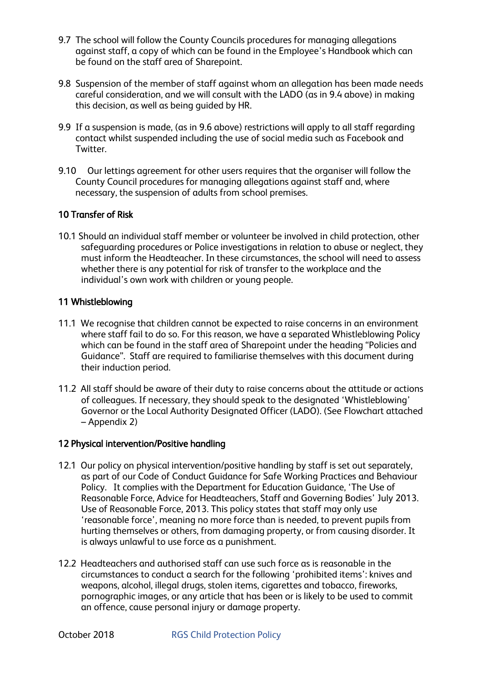- 9.7 The school will follow the County Councils procedures for managing allegations against staff, a copy of which can be found in the Employee's Handbook which can be found on the staff area of Sharepoint.
- 9.8 Suspension of the member of staff against whom an allegation has been made needs careful consideration, and we will consult with the LADO (as in 9.4 above) in making this decision, as well as being guided by HR.
- 9.9 If a suspension is made, (as in 9.6 above) restrictions will apply to all staff regarding contact whilst suspended including the use of social media such as Facebook and Twitter.
- 9.10 Our lettings agreement for other users requires that the organiser will follow the County Council procedures for managing allegations against staff and, where necessary, the suspension of adults from school premises.

# 10 Transfer of Risk

10.1 Should an individual staff member or volunteer be involved in child protection, other safeguarding procedures or Police investigations in relation to abuse or neglect, they must inform the Headteacher. In these circumstances, the school will need to assess whether there is any potential for risk of transfer to the workplace and the individual's own work with children or young people.

## 11 Whistleblowing

- 11.1 We recognise that children cannot be expected to raise concerns in an environment where staff fail to do so. For this reason, we have a separated Whistleblowing Policy which can be found in the staff area of Sharepoint under the heading "Policies and Guidance". Staff are required to familiarise themselves with this document during their induction period.
- 11.2 All staff should be aware of their duty to raise concerns about the attitude or actions of colleagues. If necessary, they should speak to the designated 'Whistleblowing' Governor or the Local Authority Designated Officer (LADO). (See Flowchart attached – Appendix 2)

## 12 Physical intervention/Positive handling

- 12.1 Our policy on physical intervention/positive handling by staff is set out separately, as part of our Code of Conduct Guidance for Safe Working Practices and Behaviour Policy. It complies with the Department for Education Guidance, 'The Use of Reasonable Force, Advice for Headteachers, Staff and Governing Bodies' July 2013. Use of Reasonable Force, 2013. This policy states that staff may only use 'reasonable force', meaning no more force than is needed, to prevent pupils from hurting themselves or others, from damaging property, or from causing disorder. It is always unlawful to use force as a punishment.
- 12.2 Headteachers and authorised staff can use such force as is reasonable in the circumstances to conduct a search for the following 'prohibited items': knives and weapons, alcohol, illegal drugs, stolen items, cigarettes and tobacco, fireworks, pornographic images, or any article that has been or is likely to be used to commit an offence, cause personal injury or damage property.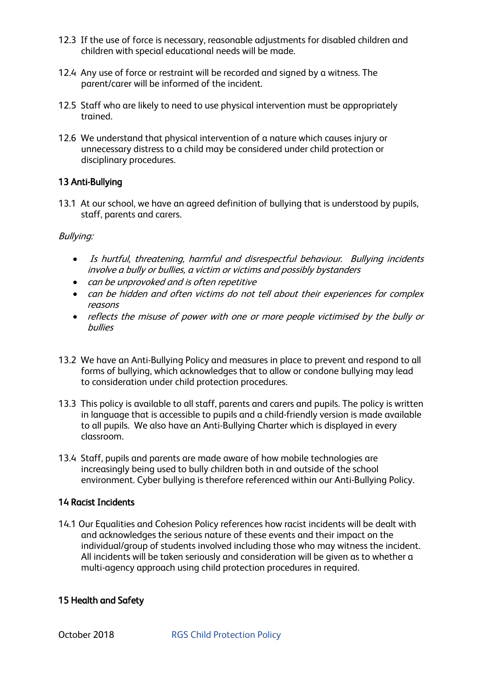- 12.3 If the use of force is necessary, reasonable adjustments for disabled children and children with special educational needs will be made.
- 12.4 Any use of force or restraint will be recorded and signed by a witness. The parent/carer will be informed of the incident.
- 12.5 Staff who are likely to need to use physical intervention must be appropriately trained.
- 12.6 We understand that physical intervention of a nature which causes injury or unnecessary distress to a child may be considered under child protection or disciplinary procedures.

# 13 Anti-Bullying

13.1 At our school, we have an agreed definition of bullying that is understood by pupils, staff, parents and carers.

# Bullying:

- Is hurtful, threatening, harmful and disrespectful behaviour. Bullying incidents involve a bully or bullies, a victim or victims and possibly bystanders
- can be unprovoked and is often repetitive
- can be hidden and often victims do not tell about their experiences for complex reasons
- reflects the misuse of power with one or more people victimised by the bully or bullies
- 13.2 We have an Anti-Bullying Policy and measures in place to prevent and respond to all forms of bullying, which acknowledges that to allow or condone bullying may lead to consideration under child protection procedures.
- 13.3 This policy is available to all staff, parents and carers and pupils. The policy is written in language that is accessible to pupils and a child-friendly version is made available to all pupils. We also have an Anti-Bullying Charter which is displayed in every classroom.
- 13.4 Staff, pupils and parents are made aware of how mobile technologies are increasingly being used to bully children both in and outside of the school environment. Cyber bullying is therefore referenced within our Anti-Bullying Policy.

## 14 Racist Incidents

14.1 Our Equalities and Cohesion Policy references how racist incidents will be dealt with and acknowledges the serious nature of these events and their impact on the individual/group of students involved including those who may witness the incident. All incidents will be taken seriously and consideration will be given as to whether a multi-agency approach using child protection procedures in required.

## 15 Health and Safety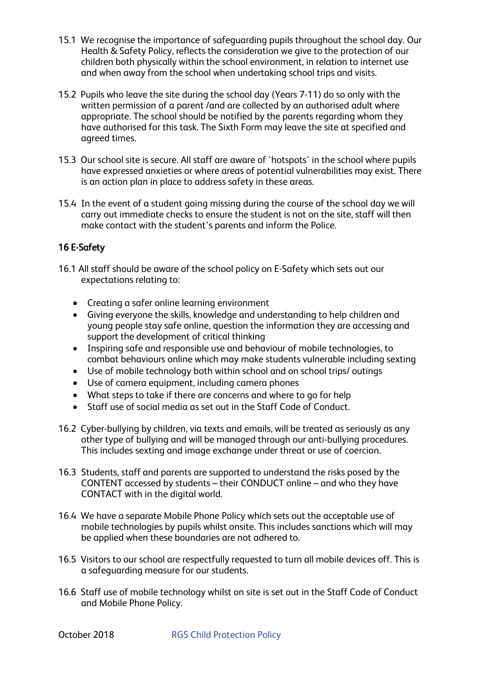- 15.1 We recognise the importance of safeguarding pupils throughout the school day. Our Health & Safety Policy, reflects the consideration we give to the protection of our children both physically within the school environment, in relation to internet use and when away from the school when undertaking school trips and visits.
- 15.2 Pupils who leave the site during the school day (Years 7-11) do so only with the written permission of a parent /and are collected by an authorised adult where appropriate. The school should be notified by the parents regarding whom they have authorised for this task. The Sixth Form may leave the site at specified and agreed times.
- 15.3 Our school site is secure. All staff are aware of 'hotspots' in the school where pupils have expressed anxieties or where areas of potential vulnerabilities may exist. There is an action plan in place to address safety in these areas.
- 15.4 In the event of a student going missing during the course of the school day we will carry out immediate checks to ensure the student is not on the site, staff will then make contact with the student's parents and inform the Police.

# 16 E-Safety

- 16.1 All staff should be aware of the school policy on E-Safety which sets out our expectations relating to:
	- Creating a safer online learning environment
	- Giving everyone the skills, knowledge and understanding to help children and young people stay safe online, question the information they are accessing and support the development of critical thinking
	- Inspiring safe and responsible use and behaviour of mobile technologies, to combat behaviours online which may make students vulnerable including sexting
	- Use of mobile technology both within school and on school trips/ outings
	- Use of camera equipment, including camera phones
	- What steps to take if there are concerns and where to go for help
	- Staff use of social media as set out in the Staff Code of Conduct.
- 16.2 Cyber-bullying by children, via texts and emails, will be treated as seriously as any other type of bullying and will be managed through our anti-bullying procedures. This includes sexting and image exchange under threat or use of coercion.
- 16.3 Students, staff and parents are supported to understand the risks posed by the CONTENT accessed by students – their CONDUCT online – and who they have CONTACT with in the digital world.
- 16.4 We have a separate Mobile Phone Policy which sets out the acceptable use of mobile technologies by pupils whilst onsite. This includes sanctions which will may be applied when these boundaries are not adhered to.
- 16.5 Visitors to our school are respectfully requested to turn all mobile devices off. This is a safeguarding measure for our students.
- 16.6 Staff use of mobile technology whilst on site is set out in the Staff Code of Conduct and Mobile Phone Policy.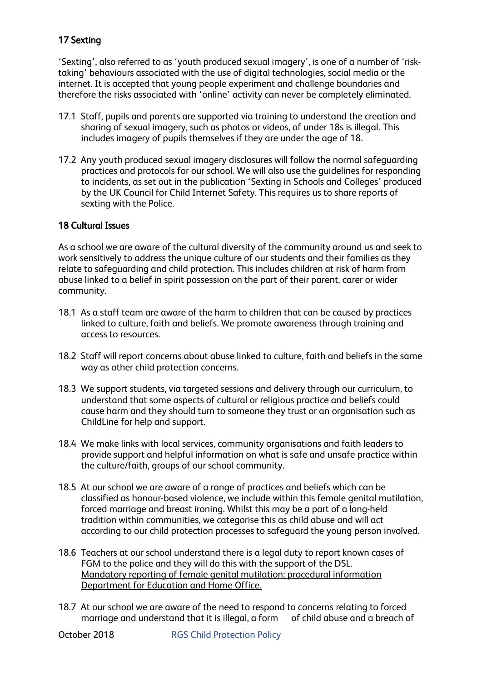# 17 Sexting

'Sexting', also referred to as 'youth produced sexual imagery', is one of a number of 'risktaking' behaviours associated with the use of digital technologies, social media or the internet. It is accepted that young people experiment and challenge boundaries and therefore the risks associated with 'online' activity can never be completely eliminated.

- 17.1 Staff, pupils and parents are supported via training to understand the creation and sharing of sexual imagery, such as photos or videos, of under 18s is illegal. This includes imagery of pupils themselves if they are under the age of 18.
- 17.2 Any youth produced sexual imagery disclosures will follow the normal safeguarding practices and protocols for our school. We will also use the guidelines for responding to incidents, as set out in the publication 'Sexting in Schools and Colleges' produced by the UK Council for Child Internet Safety. This requires us to share reports of sexting with the Police.

# 18 Cultural Issues

As a school we are aware of the cultural diversity of the community around us and seek to work sensitively to address the unique culture of our students and their families as they relate to safeguarding and child protection. This includes children at risk of harm from abuse linked to a belief in spirit possession on the part of their parent, carer or wider community.

- 18.1 As a staff team are aware of the harm to children that can be caused by practices linked to culture, faith and beliefs. We promote awareness through training and access to resources.
- 18.2 Staff will report concerns about abuse linked to culture, faith and beliefs in the same way as other child protection concerns.
- 18.3 We support students, via targeted sessions and delivery through our curriculum, to understand that some aspects of cultural or religious practice and beliefs could cause harm and they should turn to someone they trust or an organisation such as ChildLine for help and support.
- 18.4 We make links with local services, community organisations and faith leaders to provide support and helpful information on what is safe and unsafe practice within the culture/faith, groups of our school community.
- 18.5 At our school we are aware of a range of practices and beliefs which can be classified as honour-based violence, we include within this female genital mutilation, forced marriage and breast ironing. Whilst this may be a part of a long-held tradition within communities, we categorise this as child abuse and will act according to our child protection processes to safeguard the young person involved.
- 18.6 Teachers at our school understand there is a legal duty to report known cases of FGM to the police and they will do this with the support of the DSL. Mandatory reporting of female genital mutilation: procedural information Department for Education and Home Office.
- 18.7 At our school we are aware of the need to respond to concerns relating to forced marriage and understand that it is illegal, a form of child abuse and a breach of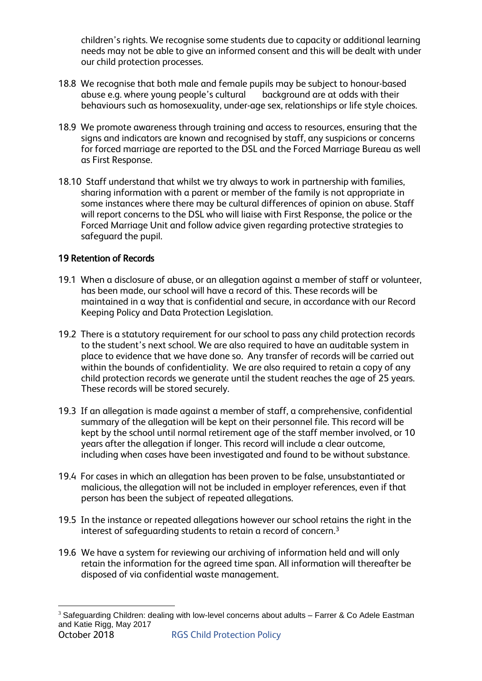children's rights. We recognise some students due to capacity or additional learning needs may not be able to give an informed consent and this will be dealt with under our child protection processes.

- 18.8 We recognise that both male and female pupils may be subject to honour-based<br>abuse e.g. where young people's cultural background are at odds with their abuse e.g. where young people's cultural behaviours such as homosexuality, under-age sex, relationships or life style choices.
- 18.9 We promote awareness through training and access to resources, ensuring that the signs and indicators are known and recognised by staff, any suspicions or concerns for forced marriage are reported to the DSL and the Forced Marriage Bureau as well as First Response.
- 18.10 Staff understand that whilst we try always to work in partnership with families, sharing information with a parent or member of the family is not appropriate in some instances where there may be cultural differences of opinion on abuse. Staff will report concerns to the DSL who will liaise with First Response, the police or the Forced Marriage Unit and follow advice given regarding protective strategies to safeguard the pupil.

# 19 Retention of Records

- 19.1 When a disclosure of abuse, or an allegation against a member of staff or volunteer, has been made, our school will have a record of this. These records will be maintained in a way that is confidential and secure, in accordance with our Record Keeping Policy and Data Protection Legislation.
- 19.2 There is a statutory requirement for our school to pass any child protection records to the student's next school. We are also required to have an auditable system in place to evidence that we have done so. Any transfer of records will be carried out within the bounds of confidentiality. We are also required to retain a copy of any child protection records we generate until the student reaches the age of 25 years. These records will be stored securely.
- 19.3 If an allegation is made against a member of staff, a comprehensive, confidential summary of the allegation will be kept on their personnel file. This record will be kept by the school until normal retirement age of the staff member involved, or 10 years after the allegation if longer. This record will include a clear outcome, including when cases have been investigated and found to be without substance.
- 19.4 For cases in which an allegation has been proven to be false, unsubstantiated or malicious, the allegation will not be included in employer references, even if that person has been the subject of repeated allegations.
- 19.5 In the instance or repeated allegations however our school retains the right in the interest of safeguarding students to retain a record of concern. $^3$
- 19.6 We have a system for reviewing our archiving of information held and will only retain the information for the agreed time span. All information will thereafter be disposed of via confidential waste management.

October 2018 **RGS Child Protection Policy** <u>.</u>  $3$  Safeguarding Children: dealing with low-level concerns about adults  $-$  Farrer & Co Adele Eastman and Katie Rigg, May 2017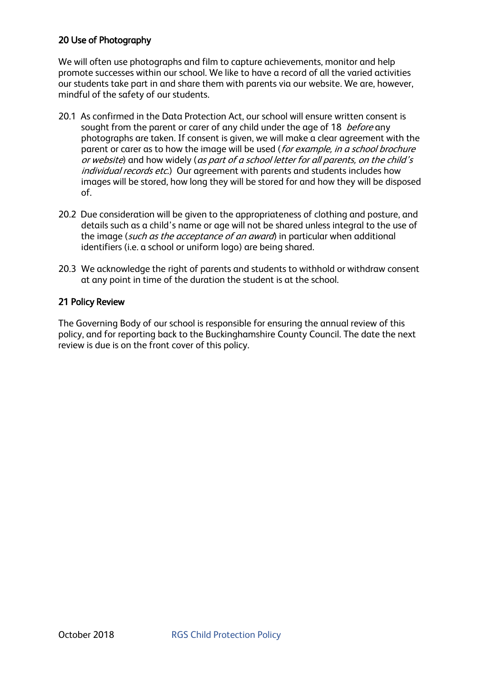# 20 Use of Photography

We will often use photographs and film to capture achievements, monitor and help promote successes within our school. We like to have a record of all the varied activities our students take part in and share them with parents via our website. We are, however, mindful of the safety of our students.

- 20.1 As confirmed in the Data Protection Act, our school will ensure written consent is sought from the parent or carer of any child under the age of 18 *before* any photographs are taken. If consent is given, we will make a clear agreement with the parent or carer as to how the image will be used (for example, in a school brochure or website) and how widely (as part of a school letter for all parents, on the child's individual records etc.) Our agreement with parents and students includes how images will be stored, how long they will be stored for and how they will be disposed of.
- 20.2 Due consideration will be given to the appropriateness of clothing and posture, and details such as a child's name or age will not be shared unless integral to the use of the image (such as the acceptance of an award) in particular when additional identifiers (i.e. a school or uniform logo) are being shared.
- 20.3 We acknowledge the right of parents and students to withhold or withdraw consent at any point in time of the duration the student is at the school.

# 21 Policy Review

The Governing Body of our school is responsible for ensuring the annual review of this policy, and for reporting back to the Buckinghamshire County Council. The date the next review is due is on the front cover of this policy.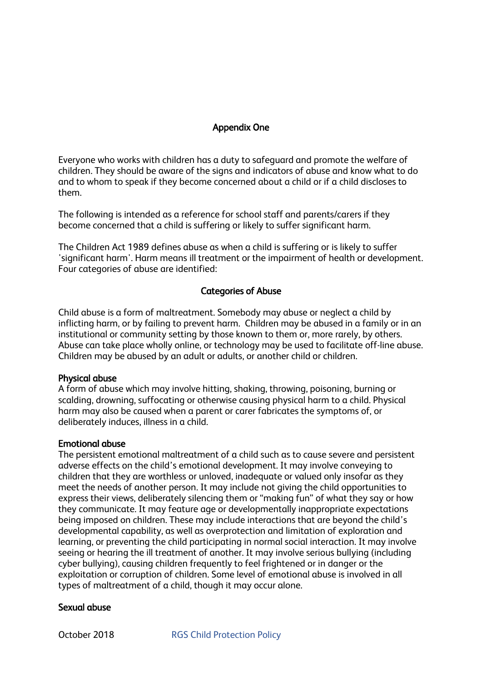# Appendix One

Everyone who works with children has a duty to safeguard and promote the welfare of children. They should be aware of the signs and indicators of abuse and know what to do and to whom to speak if they become concerned about a child or if a child discloses to them.

The following is intended as a reference for school staff and parents/carers if they become concerned that a child is suffering or likely to suffer significant harm.

The Children Act 1989 defines abuse as when a child is suffering or is likely to suffer 'significant harm'. Harm means ill treatment or the impairment of health or development. Four categories of abuse are identified:

## Categories of Abuse

Child abuse is a form of maltreatment. Somebody may abuse or neglect a child by inflicting harm, or by failing to prevent harm. Children may be abused in a family or in an institutional or community setting by those known to them or, more rarely, by others. Abuse can take place wholly online, or technology may be used to facilitate off-line abuse. Children may be abused by an adult or adults, or another child or children.

#### Physical abuse

A form of abuse which may involve hitting, shaking, throwing, poisoning, burning or scalding, drowning, suffocating or otherwise causing physical harm to a child. Physical harm may also be caused when a parent or carer fabricates the symptoms of, or deliberately induces, illness in a child.

#### Emotional abuse

The persistent emotional maltreatment of a child such as to cause severe and persistent adverse effects on the child's emotional development. It may involve conveying to children that they are worthless or unloved, inadequate or valued only insofar as they meet the needs of another person. It may include not giving the child opportunities to express their views, deliberately silencing them or "making fun" of what they say or how they communicate. It may feature age or developmentally inappropriate expectations being imposed on children. These may include interactions that are beyond the child's developmental capability, as well as overprotection and limitation of exploration and learning, or preventing the child participating in normal social interaction. It may involve seeing or hearing the ill treatment of another. It may involve serious bullying (including cyber bullying), causing children frequently to feel frightened or in danger or the exploitation or corruption of children. Some level of emotional abuse is involved in all types of maltreatment of a child, though it may occur alone.

#### Sexual abuse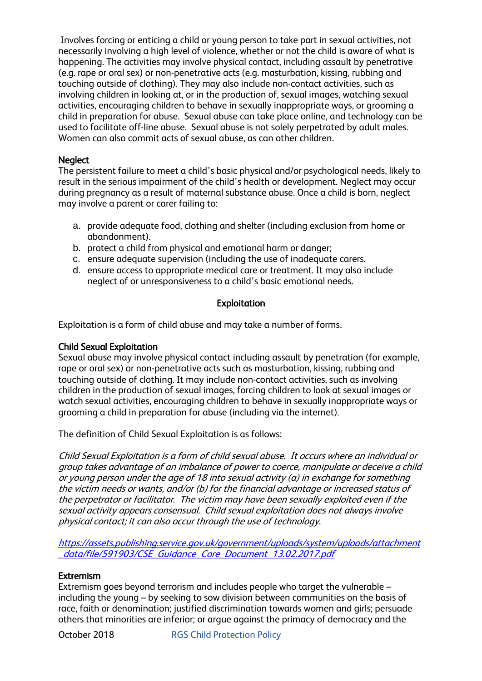Involves forcing or enticing a child or young person to take part in sexual activities, not necessarily involving a high level of violence, whether or not the child is aware of what is happening. The activities may involve physical contact, including assault by penetrative (e.g. rape or oral sex) or non-penetrative acts (e.g. masturbation, kissing, rubbing and touching outside of clothing). They may also include non-contact activities, such as involving children in looking at, or in the production of, sexual images, watching sexual activities, encouraging children to behave in sexually inappropriate ways, or grooming a child in preparation for abuse. Sexual abuse can take place online, and technology can be used to facilitate off-line abuse. Sexual abuse is not solely perpetrated by adult males. Women can also commit acts of sexual abuse, as can other children.

## **Neglect**

The persistent failure to meet a child's basic physical and/or psychological needs, likely to result in the serious impairment of the child's health or development. Neglect may occur during pregnancy as a result of maternal substance abuse. Once a child is born, neglect may involve a parent or carer failing to:

- a. provide adequate food, clothing and shelter (including exclusion from home or abandonment).
- b. protect a child from physical and emotional harm or danger;
- c. ensure adequate supervision (including the use of inadequate carers.
- d. ensure access to appropriate medical care or treatment. It may also include neglect of or unresponsiveness to a child's basic emotional needs.

# Exploitation

Exploitation is a form of child abuse and may take a number of forms.

## Child Sexual Exploitation

Sexual abuse may involve physical contact including assault by penetration (for example, rape or oral sex) or non-penetrative acts such as masturbation, kissing, rubbing and touching outside of clothing. It may include non-contact activities, such as involving children in the production of sexual images, forcing children to look at sexual images or watch sexual activities, encouraging children to behave in sexually inappropriate ways or grooming a child in preparation for abuse (including via the internet).

The definition of Child Sexual Exploitation is as follows:

Child Sexual Exploitation is a form of child sexual abuse. It occurs where an individual or group takes advantage of an imbalance of power to coerce, manipulate or deceive a child or young person under the age of 18 into sexual activity (a) in exchange for something the victim needs or wants, and/or (b) for the financial advantage or increased status of the perpetrator or facilitator. The victim may have been sexually exploited even if the sexual activity appears consensual. Child sexual exploitation does not always involve physical contact; it can also occur through the use of technology.

[https://assets.publishing.service.gov.uk/government/uploads/system/uploads/attachment](https://assets.publishing.service.gov.uk/government/uploads/system/uploads/attachment_data/file/591903/CSE_Guidance_Core_Document_13.02.2017.pdf) \_[data/file/591903/CSE\\_Guidance\\_Core\\_Document\\_13.02.2017.pdf](https://assets.publishing.service.gov.uk/government/uploads/system/uploads/attachment_data/file/591903/CSE_Guidance_Core_Document_13.02.2017.pdf)

## **Extremism**

Extremism goes beyond terrorism and includes people who target the vulnerable – including the young – by seeking to sow division between communities on the basis of race, faith or denomination; justified discrimination towards women and girls; persuade others that minorities are inferior; or argue against the primacy of democracy and the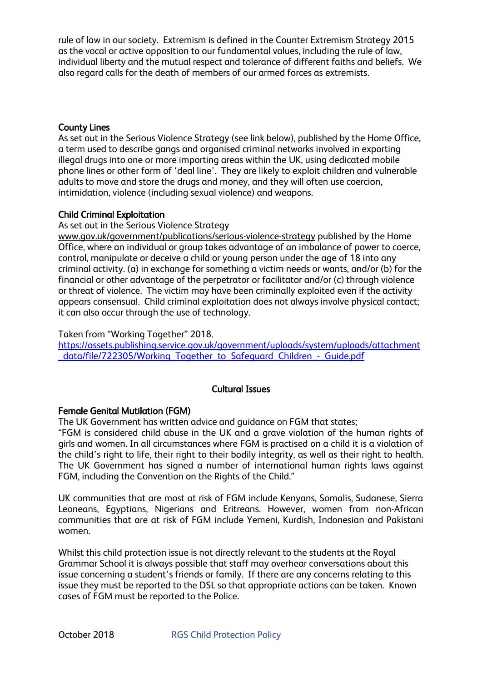rule of law in our society. Extremism is defined in the Counter Extremism Strategy 2015 as the vocal or active opposition to our fundamental values, including the rule of law, individual liberty and the mutual respect and tolerance of different faiths and beliefs. We also regard calls for the death of members of our armed forces as extremists.

#### County Lines

As set out in the Serious Violence Strategy (see link below), published by the Home Office, a term used to describe gangs and organised criminal networks involved in exporting illegal drugs into one or more importing areas within the UK, using dedicated mobile phone lines or other form of 'deal line'. They are likely to exploit children and vulnerable adults to move and store the drugs and money, and they will often use coercion, intimidation, violence (including sexual violence) and weapons.

#### Child Criminal Exploitation

#### As set out in the Serious Violence Strategy

[www.gov.uk/government/publications/serious-violence-strategy](http://www.gov.uk/government/publications/serious-violence-strategy) published by the Home Office, where an individual or group takes advantage of an imbalance of power to coerce, control, manipulate or deceive a child or young person under the age of 18 into any criminal activity. (a) in exchange for something a victim needs or wants, and/or (b) for the financial or other advantage of the perpetrator or facilitator and/or (c) through violence or threat of violence. The victim may have been criminally exploited even if the activity appears consensual. Child criminal exploitation does not always involve physical contact; it can also occur through the use of technology.

#### Taken from "Working Together" 2018.

[https://assets.publishing.service.gov.uk/government/uploads/system/uploads/attachment](https://assets.publishing.service.gov.uk/government/uploads/system/uploads/attachment_data/file/722305/Working_Together_to_Safeguard_Children_-_Guide.pdf) data/file/722305/Working Together to Safeguard Children - Guide.pdf

## Cultural Issues

#### Female Genital Mutilation (FGM)

The UK Government has written advice and guidance on FGM that states;

"FGM is considered child abuse in the UK and a grave violation of the human rights of girls and women. In all circumstances where FGM is practised on a child it is a violation of the child's right to life, their right to their bodily integrity, as well as their right to health. The UK Government has signed a number of international human rights laws against FGM, including the Convention on the Rights of the Child."

UK communities that are most at risk of FGM include Kenyans, Somalis, Sudanese, Sierra Leoneans, Egyptians, Nigerians and Eritreans. However, women from non-African communities that are at risk of FGM include Yemeni, Kurdish, Indonesian and Pakistani women.

Whilst this child protection issue is not directly relevant to the students at the Royal Grammar School it is always possible that staff may overhear conversations about this issue concerning a student's friends or family. If there are any concerns relating to this issue they must be reported to the DSL so that appropriate actions can be taken. Known cases of FGM must be reported to the Police.